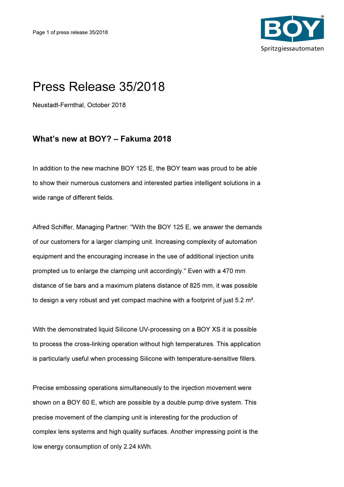

## Press Release 35/2018

Neustadt-Fernthal, October 2018

## What's new at BOY? – Fakuma 2018

In addition to the new machine BOY 125 E, the BOY team was proud to be able to show their numerous customers and interested parties intelligent solutions in a wide range of different fields.

Alfred Schiffer, Managing Partner: "With the BOY 125 E, we answer the demands of our customers for a larger clamping unit. Increasing complexity of automation equipment and the encouraging increase in the use of additional injection units prompted us to enlarge the clamping unit accordingly." Even with a 470 mm distance of tie bars and a maximum platens distance of 825 mm, it was possible to design a very robust and yet compact machine with a footprint of just 5.2 m².

With the demonstrated liquid Silicone UV-processing on a BOY XS it is possible to process the cross-linking operation without high temperatures. This application is particularly useful when processing Silicone with temperature-sensitive fillers.

Precise embossing operations simultaneously to the injection movement were shown on a BOY 60 E, which are possible by a double pump drive system. This precise movement of the clamping unit is interesting for the production of complex lens systems and high quality surfaces. Another impressing point is the low energy consumption of only 2.24 kWh.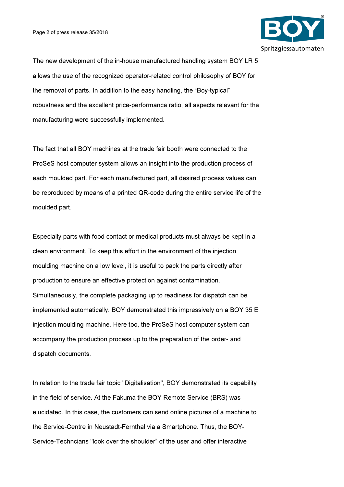

The new development of the in-house manufactured handling system BOY LR 5 allows the use of the recognized operator-related control philosophy of BOY for the removal of parts. In addition to the easy handling, the "Boy-typical" robustness and the excellent price-performance ratio, all aspects relevant for the manufacturing were successfully implemented.

The fact that all BOY machines at the trade fair booth were connected to the ProSeS host computer system allows an insight into the production process of each moulded part. For each manufactured part, all desired process values can be reproduced by means of a printed QR-code during the entire service life of the moulded part.

Especially parts with food contact or medical products must always be kept in a clean environment. To keep this effort in the environment of the injection moulding machine on a low level, it is useful to pack the parts directly after production to ensure an effective protection against contamination. Simultaneously, the complete packaging up to readiness for dispatch can be implemented automatically. BOY demonstrated this impressively on a BOY 35 E injection moulding machine. Here too, the ProSeS host computer system can accompany the production process up to the preparation of the order- and dispatch documents.

In relation to the trade fair topic "Digitalisation", BOY demonstrated its capability in the field of service. At the Fakuma the BOY Remote Service (BRS) was elucidated. In this case, the customers can send online pictures of a machine to the Service-Centre in Neustadt-Fernthal via a Smartphone. Thus, the BOY-Service-Techncians "look over the shoulder" of the user and offer interactive